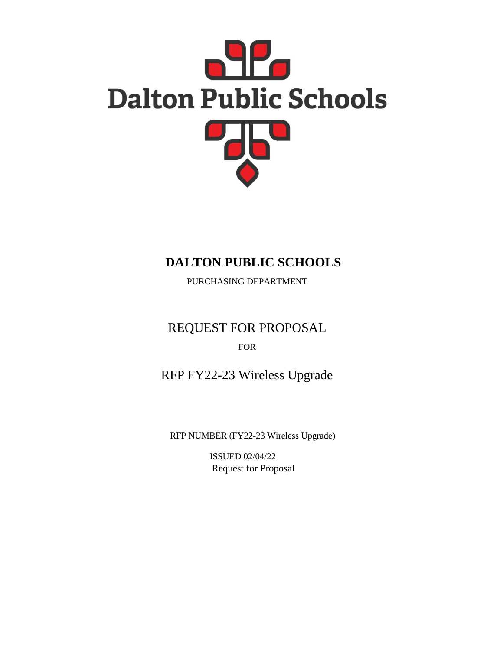

# **DALTON PUBLIC SCHOOLS**

PURCHASING DEPARTMENT

REQUEST FOR PROPOSAL FOR

RFP FY22-23 Wireless Upgrade

RFP NUMBER (FY22-23 Wireless Upgrade)

ISSUED 02/04/22 Request for Proposal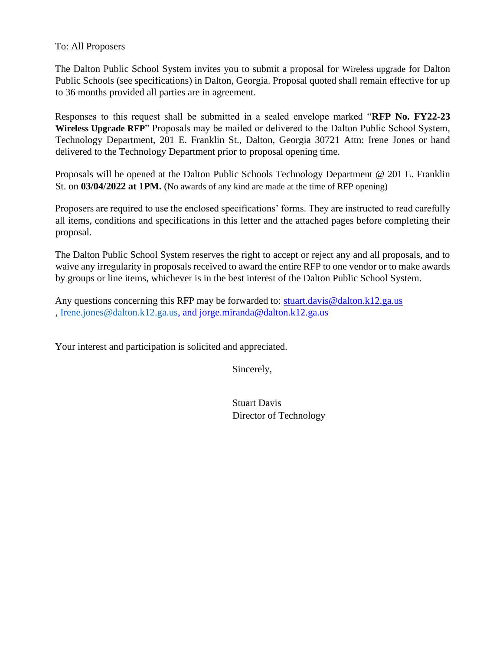### To: All Proposers

The Dalton Public School System invites you to submit a proposal for Wireless upgrade for Dalton Public Schools (see specifications) in Dalton, Georgia. Proposal quoted shall remain effective for up to 36 months provided all parties are in agreement.

Responses to this request shall be submitted in a sealed envelope marked "**RFP No. FY22-23 Wireless Upgrade RFP**" Proposals may be mailed or delivered to the Dalton Public School System, Technology Department, 201 E. Franklin St., Dalton, Georgia 30721 Attn: Irene Jones or hand delivered to the Technology Department prior to proposal opening time.

Proposals will be opened at the Dalton Public Schools Technology Department @ 201 E. Franklin St. on **03/04/2022 at 1PM.** (No awards of any kind are made at the time of RFP opening)

Proposers are required to use the enclosed specifications' forms. They are instructed to read carefully all items, conditions and specifications in this letter and the attached pages before completing their proposal.

The Dalton Public School System reserves the right to accept or reject any and all proposals, and to waive any irregularity in proposals received to award the entire RFP to one vendor or to make awards by groups or line items, whichever is in the best interest of the Dalton Public School System.

Any questions concerning this RFP may be forwarded to: stuart.davis@dalton.k12.ga.us , [Irene.jones@dalton.k12.ga.us,](mailto:Irene.jones@dalton.k12.ga.us) and jorge.miranda@dalton.k12.ga.us

Your interest and participation is solicited and appreciated.

Sincerely,

Stuart Davis Director of Technology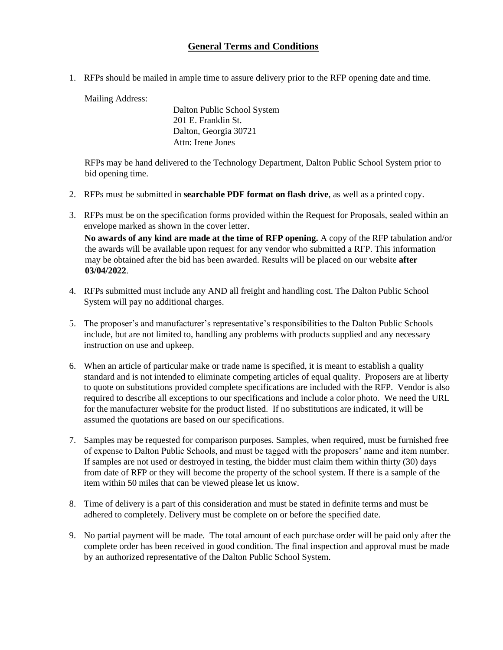### **General Terms and Conditions**

1. RFPs should be mailed in ample time to assure delivery prior to the RFP opening date and time.

Mailing Address:

Dalton Public School System 201 E. Franklin St. Dalton, Georgia 30721 Attn: Irene Jones

RFPs may be hand delivered to the Technology Department, Dalton Public School System prior to bid opening time.

- 2. RFPs must be submitted in **searchable PDF format on flash drive**, as well as a printed copy.
- 3. RFPs must be on the specification forms provided within the Request for Proposals, sealed within an envelope marked as shown in the cover letter.

**No awards of any kind are made at the time of RFP opening.** A copy of the RFP tabulation and/or the awards will be available upon request for any vendor who submitted a RFP. This information may be obtained after the bid has been awarded. Results will be placed on our website **after 03/04/2022**.

- 4. RFPs submitted must include any AND all freight and handling cost. The Dalton Public School System will pay no additional charges.
- 5. The proposer's and manufacturer's representative's responsibilities to the Dalton Public Schools include, but are not limited to, handling any problems with products supplied and any necessary instruction on use and upkeep.
- 6. When an article of particular make or trade name is specified, it is meant to establish a quality standard and is not intended to eliminate competing articles of equal quality. Proposers are at liberty to quote on substitutions provided complete specifications are included with the RFP. Vendor is also required to describe all exceptions to our specifications and include a color photo. We need the URL for the manufacturer website for the product listed. If no substitutions are indicated, it will be assumed the quotations are based on our specifications.
- 7. Samples may be requested for comparison purposes. Samples, when required, must be furnished free of expense to Dalton Public Schools, and must be tagged with the proposers' name and item number. If samples are not used or destroyed in testing, the bidder must claim them within thirty (30) days from date of RFP or they will become the property of the school system. If there is a sample of the item within 50 miles that can be viewed please let us know.
- 8. Time of delivery is a part of this consideration and must be stated in definite terms and must be adhered to completely. Delivery must be complete on or before the specified date.
- 9. No partial payment will be made. The total amount of each purchase order will be paid only after the complete order has been received in good condition. The final inspection and approval must be made by an authorized representative of the Dalton Public School System.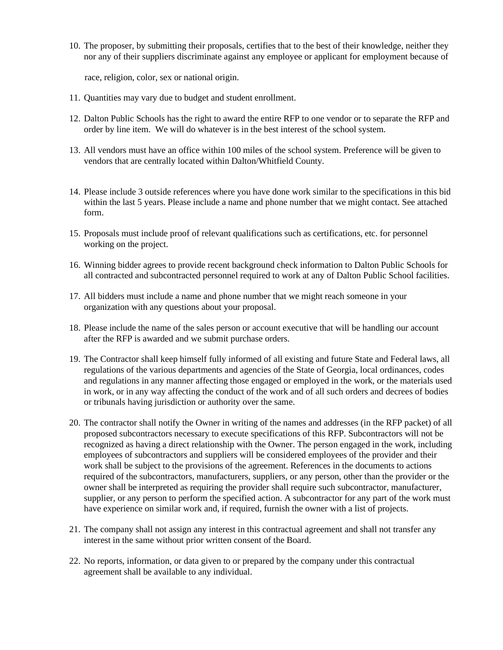10. The proposer, by submitting their proposals, certifies that to the best of their knowledge, neither they nor any of their suppliers discriminate against any employee or applicant for employment because of

race, religion, color, sex or national origin.

- 11. Quantities may vary due to budget and student enrollment.
- 12. Dalton Public Schools has the right to award the entire RFP to one vendor or to separate the RFP and order by line item. We will do whatever is in the best interest of the school system.
- 13. All vendors must have an office within 100 miles of the school system. Preference will be given to vendors that are centrally located within Dalton/Whitfield County.
- 14. Please include 3 outside references where you have done work similar to the specifications in this bid within the last 5 years. Please include a name and phone number that we might contact. See attached form.
- 15. Proposals must include proof of relevant qualifications such as certifications, etc. for personnel working on the project.
- 16. Winning bidder agrees to provide recent background check information to Dalton Public Schools for all contracted and subcontracted personnel required to work at any of Dalton Public School facilities.
- 17. All bidders must include a name and phone number that we might reach someone in your organization with any questions about your proposal.
- 18. Please include the name of the sales person or account executive that will be handling our account after the RFP is awarded and we submit purchase orders.
- 19. The Contractor shall keep himself fully informed of all existing and future State and Federal laws, all regulations of the various departments and agencies of the State of Georgia, local ordinances, codes and regulations in any manner affecting those engaged or employed in the work, or the materials used in work, or in any way affecting the conduct of the work and of all such orders and decrees of bodies or tribunals having jurisdiction or authority over the same.
- 20. The contractor shall notify the Owner in writing of the names and addresses (in the RFP packet) of all proposed subcontractors necessary to execute specifications of this RFP. Subcontractors will not be recognized as having a direct relationship with the Owner. The person engaged in the work, including employees of subcontractors and suppliers will be considered employees of the provider and their work shall be subject to the provisions of the agreement. References in the documents to actions required of the subcontractors, manufacturers, suppliers, or any person, other than the provider or the owner shall be interpreted as requiring the provider shall require such subcontractor, manufacturer, supplier, or any person to perform the specified action. A subcontractor for any part of the work must have experience on similar work and, if required, furnish the owner with a list of projects.
- 21. The company shall not assign any interest in this contractual agreement and shall not transfer any interest in the same without prior written consent of the Board.
- 22. No reports, information, or data given to or prepared by the company under this contractual agreement shall be available to any individual.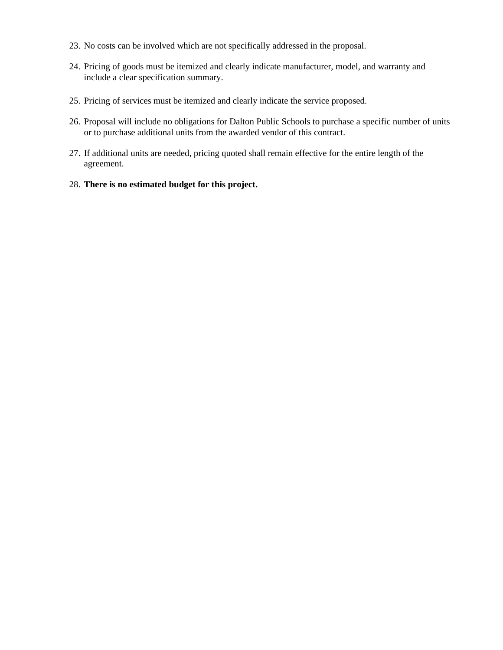- 23. No costs can be involved which are not specifically addressed in the proposal.
- 24. Pricing of goods must be itemized and clearly indicate manufacturer, model, and warranty and include a clear specification summary.
- 25. Pricing of services must be itemized and clearly indicate the service proposed.
- 26. Proposal will include no obligations for Dalton Public Schools to purchase a specific number of units or to purchase additional units from the awarded vendor of this contract.
- 27. If additional units are needed, pricing quoted shall remain effective for the entire length of the agreement.
- 28. **There is no estimated budget for this project.**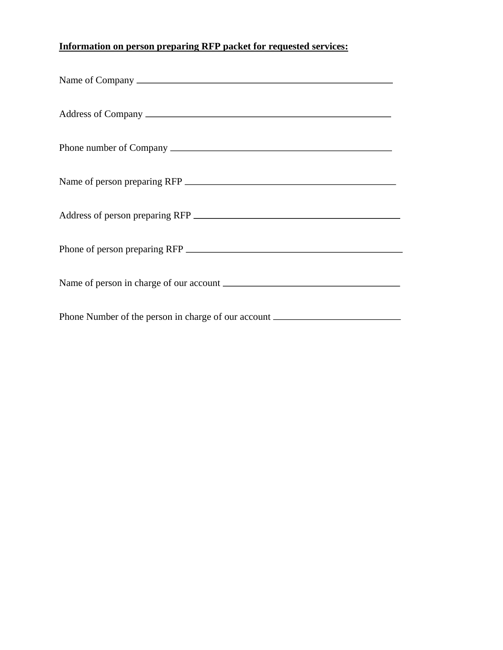## **Information on person preparing RFP packet for requested services:**

| Address of person preparing RFP                                                  |  |
|----------------------------------------------------------------------------------|--|
|                                                                                  |  |
|                                                                                  |  |
| Phone Number of the person in charge of our account ____________________________ |  |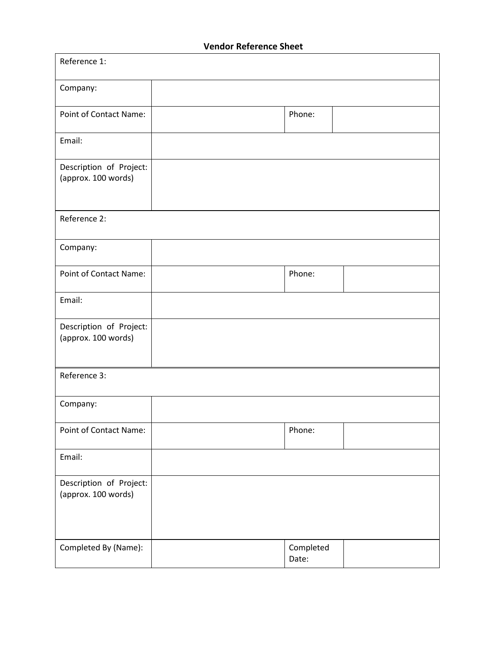### **Vendor Reference Sheet**

| Reference 1:                                   |  |                    |  |  |
|------------------------------------------------|--|--------------------|--|--|
| Company:                                       |  |                    |  |  |
| <b>Point of Contact Name:</b>                  |  | Phone:             |  |  |
| Email:                                         |  |                    |  |  |
| Description of Project:<br>(approx. 100 words) |  |                    |  |  |
| Reference 2:                                   |  |                    |  |  |
| Company:                                       |  |                    |  |  |
| <b>Point of Contact Name:</b>                  |  | Phone:             |  |  |
| Email:                                         |  |                    |  |  |
| Description of Project:<br>(approx. 100 words) |  |                    |  |  |
| Reference 3:                                   |  |                    |  |  |
| Company:                                       |  |                    |  |  |
| Point of Contact Name:                         |  | Phone:             |  |  |
| Email:                                         |  |                    |  |  |
| Description of Project:<br>(approx. 100 words) |  |                    |  |  |
| Completed By (Name):                           |  | Completed<br>Date: |  |  |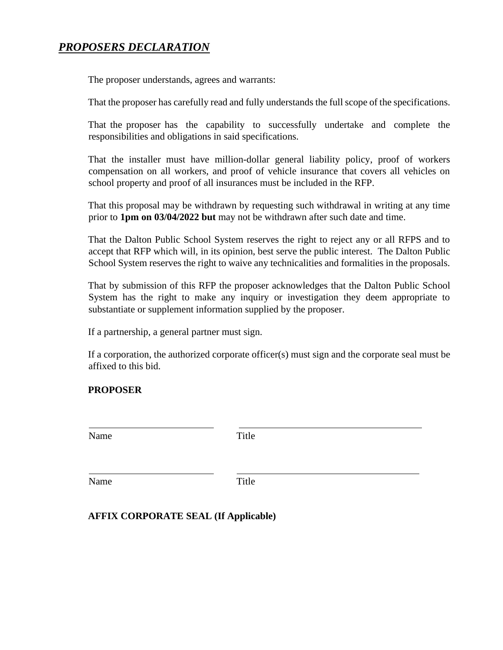### *PROPOSERS DECLARATION*

The proposer understands, agrees and warrants:

That the proposer has carefully read and fully understands the full scope of the specifications.

That the proposer has the capability to successfully undertake and complete the responsibilities and obligations in said specifications.

That the installer must have million-dollar general liability policy, proof of workers compensation on all workers, and proof of vehicle insurance that covers all vehicles on school property and proof of all insurances must be included in the RFP.

That this proposal may be withdrawn by requesting such withdrawal in writing at any time prior to **1pm on 03/04/2022 but** may not be withdrawn after such date and time.

That the Dalton Public School System reserves the right to reject any or all RFPS and to accept that RFP which will, in its opinion, best serve the public interest. The Dalton Public School System reserves the right to waive any technicalities and formalities in the proposals.

That by submission of this RFP the proposer acknowledges that the Dalton Public School System has the right to make any inquiry or investigation they deem appropriate to substantiate or supplement information supplied by the proposer.

If a partnership, a general partner must sign.

If a corporation, the authorized corporate officer(s) must sign and the corporate seal must be affixed to this bid.

### **PROPOSER**

| Name | Title |
|------|-------|
| Name | Title |

#### **AFFIX CORPORATE SEAL (If Applicable)**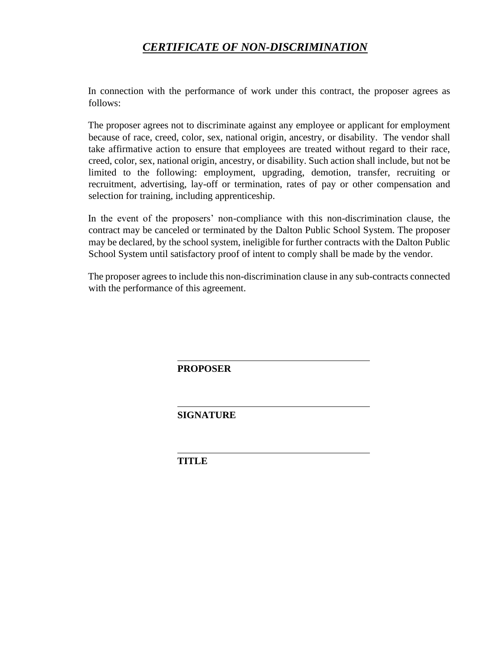### *CERTIFICATE OF NON-DISCRIMINATION*

In connection with the performance of work under this contract, the proposer agrees as follows:

The proposer agrees not to discriminate against any employee or applicant for employment because of race, creed, color, sex, national origin, ancestry, or disability. The vendor shall take affirmative action to ensure that employees are treated without regard to their race, creed, color, sex, national origin, ancestry, or disability. Such action shall include, but not be limited to the following: employment, upgrading, demotion, transfer, recruiting or recruitment, advertising, lay-off or termination, rates of pay or other compensation and selection for training, including apprenticeship.

In the event of the proposers' non-compliance with this non-discrimination clause, the contract may be canceled or terminated by the Dalton Public School System. The proposer may be declared, by the school system, ineligible for further contracts with the Dalton Public School System until satisfactory proof of intent to comply shall be made by the vendor.

The proposer agrees to include this non-discrimination clause in any sub-contracts connected with the performance of this agreement.

**PROPOSER**

**SIGNATURE**

**TITLE**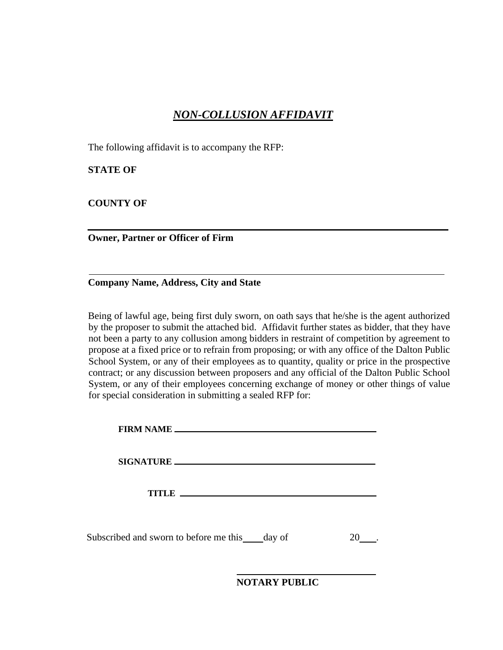### *NON-COLLUSION AFFIDAVIT*

The following affidavit is to accompany the RFP:

**STATE OF**

**COUNTY OF**

**Owner, Partner or Officer of Firm**

**Company Name, Address, City and State**

Being of lawful age, being first duly sworn, on oath says that he/she is the agent authorized by the proposer to submit the attached bid. Affidavit further states as bidder, that they have not been a party to any collusion among bidders in restraint of competition by agreement to propose at a fixed price or to refrain from proposing; or with any office of the Dalton Public School System, or any of their employees as to quantity, quality or price in the prospective contract; or any discussion between proposers and any official of the Dalton Public School System, or any of their employees concerning exchange of money or other things of value for special consideration in submitting a sealed RFP for:

| FIRM NAME                                     |  |
|-----------------------------------------------|--|
|                                               |  |
| <b>TITLE</b>                                  |  |
| Subscribed and sworn to before me this day of |  |

**NOTARY PUBLIC**

i,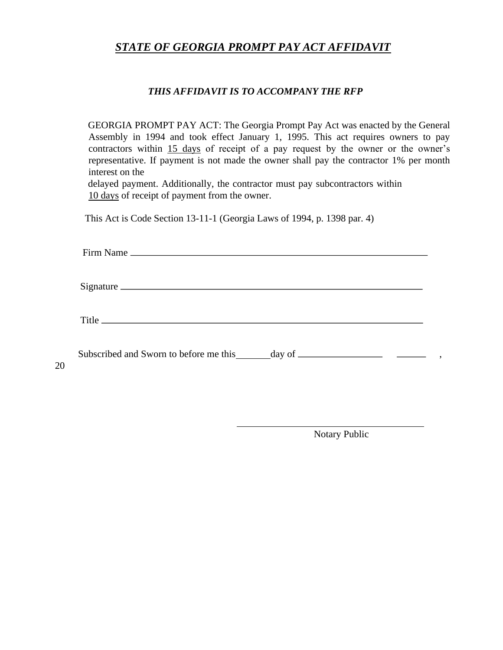### *STATE OF GEORGIA PROMPT PAY ACT AFFIDAVIT*

#### *THIS AFFIDAVIT IS TO ACCOMPANY THE RFP*

GEORGIA PROMPT PAY ACT: The Georgia Prompt Pay Act was enacted by the General Assembly in 1994 and took effect January 1, 1995. This act requires owners to pay contractors within 15 days of receipt of a pay request by the owner or the owner's representative. If payment is not made the owner shall pay the contractor 1% per month interest on the

delayed payment. Additionally, the contractor must pay subcontractors within 10 days of receipt of payment from the owner.

This Act is Code Section 13-11-1 (Georgia Laws of 1994, p. 1398 par. 4)

20

| Signature |  |
|-----------|--|
|           |  |
|           |  |
|           |  |

Notary Public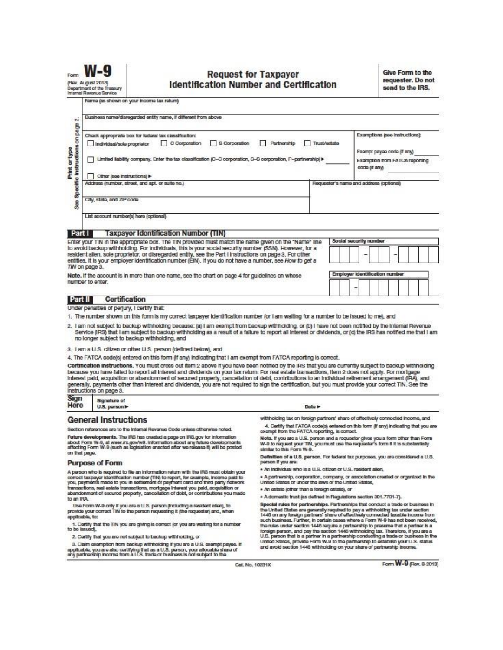

#### **Request for Taxpayer Identification Number and Certification**

**Give Form to the** requester. Do not send to the IRS.

Name (as shown on your income tax return)

| $\overline{\mathbf{c}}$                                                                                                                                                                                                                                                                                                                                                                                                                                | Businass name/disregarded entity name, if different from above                                                                                                                                                                                                                                                                                                                                                                                                                                                                                                                                                                                           |                                                                                                                                                                                                                                                            |                                                                                                                                                                        |  |  |
|--------------------------------------------------------------------------------------------------------------------------------------------------------------------------------------------------------------------------------------------------------------------------------------------------------------------------------------------------------------------------------------------------------------------------------------------------------|----------------------------------------------------------------------------------------------------------------------------------------------------------------------------------------------------------------------------------------------------------------------------------------------------------------------------------------------------------------------------------------------------------------------------------------------------------------------------------------------------------------------------------------------------------------------------------------------------------------------------------------------------------|------------------------------------------------------------------------------------------------------------------------------------------------------------------------------------------------------------------------------------------------------------|------------------------------------------------------------------------------------------------------------------------------------------------------------------------|--|--|
| page<br>Specific instructions on<br>Print or type                                                                                                                                                                                                                                                                                                                                                                                                      | Check appropriate box for federal tax classification:<br>C Corporation<br>S Corporation<br>Individual/sole propriator                                                                                                                                                                                                                                                                                                                                                                                                                                                                                                                                    | Examptions (see instructions):                                                                                                                                                                                                                             |                                                                                                                                                                        |  |  |
|                                                                                                                                                                                                                                                                                                                                                                                                                                                        | Limited liability company. Enter the tax classification (C=C corporation, S=S corporation, P=partnership) ▶                                                                                                                                                                                                                                                                                                                                                                                                                                                                                                                                              | Exampt payee code (if any)<br>Examption from FATCA reporting<br>code (if any)                                                                                                                                                                              |                                                                                                                                                                        |  |  |
|                                                                                                                                                                                                                                                                                                                                                                                                                                                        | Other (see instructions)                                                                                                                                                                                                                                                                                                                                                                                                                                                                                                                                                                                                                                 |                                                                                                                                                                                                                                                            |                                                                                                                                                                        |  |  |
|                                                                                                                                                                                                                                                                                                                                                                                                                                                        | Address (number, street, and apt. or sulte no.)                                                                                                                                                                                                                                                                                                                                                                                                                                                                                                                                                                                                          |                                                                                                                                                                                                                                                            | Requester's name and address (optional)                                                                                                                                |  |  |
|                                                                                                                                                                                                                                                                                                                                                                                                                                                        |                                                                                                                                                                                                                                                                                                                                                                                                                                                                                                                                                                                                                                                          |                                                                                                                                                                                                                                                            |                                                                                                                                                                        |  |  |
| Sep                                                                                                                                                                                                                                                                                                                                                                                                                                                    | City, state, and ZIP code                                                                                                                                                                                                                                                                                                                                                                                                                                                                                                                                                                                                                                |                                                                                                                                                                                                                                                            |                                                                                                                                                                        |  |  |
|                                                                                                                                                                                                                                                                                                                                                                                                                                                        | List account number(s) here (optional)                                                                                                                                                                                                                                                                                                                                                                                                                                                                                                                                                                                                                   |                                                                                                                                                                                                                                                            |                                                                                                                                                                        |  |  |
| Part I                                                                                                                                                                                                                                                                                                                                                                                                                                                 | <b>Taxpayer Identification Number (TIN)</b>                                                                                                                                                                                                                                                                                                                                                                                                                                                                                                                                                                                                              |                                                                                                                                                                                                                                                            |                                                                                                                                                                        |  |  |
|                                                                                                                                                                                                                                                                                                                                                                                                                                                        | Enter your TIN In the appropriate box. The TIN provided must match the name given on the "Name" line                                                                                                                                                                                                                                                                                                                                                                                                                                                                                                                                                     |                                                                                                                                                                                                                                                            | Social security number                                                                                                                                                 |  |  |
|                                                                                                                                                                                                                                                                                                                                                                                                                                                        | to avoid backup withholding. For individuals, this is your social security number (SSN). However, for a<br>resident allen, sole proprietor, or disregarded entity, see the Part I Instructions on page 3. For other<br>entities, it is your employer identification number (EIN). If you do not have a number, see How to get a                                                                                                                                                                                                                                                                                                                          |                                                                                                                                                                                                                                                            |                                                                                                                                                                        |  |  |
|                                                                                                                                                                                                                                                                                                                                                                                                                                                        | TIN on page 3.                                                                                                                                                                                                                                                                                                                                                                                                                                                                                                                                                                                                                                           |                                                                                                                                                                                                                                                            |                                                                                                                                                                        |  |  |
|                                                                                                                                                                                                                                                                                                                                                                                                                                                        | Note. If the account is in more than one name, see the chart on page 4 for guidelines on whose<br>number to enter.                                                                                                                                                                                                                                                                                                                                                                                                                                                                                                                                       |                                                                                                                                                                                                                                                            | Employer identification number                                                                                                                                         |  |  |
|                                                                                                                                                                                                                                                                                                                                                                                                                                                        |                                                                                                                                                                                                                                                                                                                                                                                                                                                                                                                                                                                                                                                          |                                                                                                                                                                                                                                                            |                                                                                                                                                                        |  |  |
|                                                                                                                                                                                                                                                                                                                                                                                                                                                        |                                                                                                                                                                                                                                                                                                                                                                                                                                                                                                                                                                                                                                                          |                                                                                                                                                                                                                                                            |                                                                                                                                                                        |  |  |
| Part II                                                                                                                                                                                                                                                                                                                                                                                                                                                | Certification                                                                                                                                                                                                                                                                                                                                                                                                                                                                                                                                                                                                                                            |                                                                                                                                                                                                                                                            |                                                                                                                                                                        |  |  |
|                                                                                                                                                                                                                                                                                                                                                                                                                                                        | Under penalties of perjury, I certify that:<br>1. The number shown on this form is my correct taxpayer identification number (or I am waiting for a number to be issued to me), and                                                                                                                                                                                                                                                                                                                                                                                                                                                                      |                                                                                                                                                                                                                                                            |                                                                                                                                                                        |  |  |
|                                                                                                                                                                                                                                                                                                                                                                                                                                                        | Service (IRS) that I am subject to backup withholding as a result of a failure to report all interest or dividends, or (c) the IRS has notified me that I am<br>no longer subject to backup withholding, and<br>3. I am a U.S. citizen or other U.S. person (defined below), and                                                                                                                                                                                                                                                                                                                                                                         |                                                                                                                                                                                                                                                            |                                                                                                                                                                        |  |  |
|                                                                                                                                                                                                                                                                                                                                                                                                                                                        | 4. The FATCA code(s) entered on this form (if any) indicating that I am exempt from FATCA reporting is correct.                                                                                                                                                                                                                                                                                                                                                                                                                                                                                                                                          |                                                                                                                                                                                                                                                            |                                                                                                                                                                        |  |  |
|                                                                                                                                                                                                                                                                                                                                                                                                                                                        | Certification Instructions. You must cross out Item 2 above if you have been notified by the IRS that you are currently subject to backup withholding<br>because you have falled to report all interest and dividends on your tax return. For real estate transactions, item 2 does not apply. For mortgage<br>interest paid, acquisition or abandonment of secured property, cancellation of debt, contributions to an individual retirement arrangement (IRA), and<br>generally, payments other than Interest and dividends, you are not required to sign the certification, but you must provide your correct TIN. See the<br>instructions on page 3. |                                                                                                                                                                                                                                                            |                                                                                                                                                                        |  |  |
| Sign<br>Here                                                                                                                                                                                                                                                                                                                                                                                                                                           | <b>Signature of</b><br>U.S. person >                                                                                                                                                                                                                                                                                                                                                                                                                                                                                                                                                                                                                     | Data In                                                                                                                                                                                                                                                    |                                                                                                                                                                        |  |  |
|                                                                                                                                                                                                                                                                                                                                                                                                                                                        |                                                                                                                                                                                                                                                                                                                                                                                                                                                                                                                                                                                                                                                          |                                                                                                                                                                                                                                                            |                                                                                                                                                                        |  |  |
|                                                                                                                                                                                                                                                                                                                                                                                                                                                        | <b>General Instructions</b>                                                                                                                                                                                                                                                                                                                                                                                                                                                                                                                                                                                                                              |                                                                                                                                                                                                                                                            | withholding tax on foreign partners' share of effectively connected income, and<br>4. Certify that FATCA code(s) entered on this form (if any) indicating that you are |  |  |
|                                                                                                                                                                                                                                                                                                                                                                                                                                                        | Section references are to the Internal Revenue Code unless otherwise noted.                                                                                                                                                                                                                                                                                                                                                                                                                                                                                                                                                                              | exampt from the FATCA reporting, is correct.                                                                                                                                                                                                               |                                                                                                                                                                        |  |  |
| Future developments. The IRS has created a page on IRS.gov for information<br>about Form W-9, at www.irs.gov/w9. Information about any future developments<br>affacting Form W-9 (such as legislation enacted after we release it) will be posted                                                                                                                                                                                                      |                                                                                                                                                                                                                                                                                                                                                                                                                                                                                                                                                                                                                                                          | Note. If you are a U.S. person and a requester gives you a form other than Form<br>W-9 to request your TIN, you must use the requester's form if it is substantially<br>similar to this Form W-9.                                                          |                                                                                                                                                                        |  |  |
|                                                                                                                                                                                                                                                                                                                                                                                                                                                        | on that page.<br><b>Purpose of Form</b>                                                                                                                                                                                                                                                                                                                                                                                                                                                                                                                                                                                                                  | Definition of a U.S. person. For faderal tax purposes, you are considered a U.S.<br>person if you are:                                                                                                                                                     |                                                                                                                                                                        |  |  |
|                                                                                                                                                                                                                                                                                                                                                                                                                                                        |                                                                                                                                                                                                                                                                                                                                                                                                                                                                                                                                                                                                                                                          | . An individual who is a U.S. offizen or U.S. resident allen,                                                                                                                                                                                              |                                                                                                                                                                        |  |  |
| A parson who is required to file an information return with the IRS must obtain your<br>corract taxpayer identification number (TIN) to report, for example, income paid to<br>you, payments made to you in settlement of payment card and third party network<br>transactions, real estate transactions, mortgage interest you paid, acquisition or<br>abandonment of secured property, cancellation of debt, or contributions you made<br>to an IRA. |                                                                                                                                                                                                                                                                                                                                                                                                                                                                                                                                                                                                                                                          | * A partnership, corporation, company, or association created or organized in the<br>United States or under the laws of the United States,                                                                                                                 |                                                                                                                                                                        |  |  |
|                                                                                                                                                                                                                                                                                                                                                                                                                                                        |                                                                                                                                                                                                                                                                                                                                                                                                                                                                                                                                                                                                                                                          | * An estate (other than a foreign estate), or                                                                                                                                                                                                              |                                                                                                                                                                        |  |  |
|                                                                                                                                                                                                                                                                                                                                                                                                                                                        |                                                                                                                                                                                                                                                                                                                                                                                                                                                                                                                                                                                                                                                          | * A domestic trust (as defined in Regulations section 301.7701-7).                                                                                                                                                                                         |                                                                                                                                                                        |  |  |
|                                                                                                                                                                                                                                                                                                                                                                                                                                                        | Use Form W-9 only if you are a U.S. person (including a resident allen), to<br>provide your correct TIN to the person requesting it (the requester) and, when<br>applicable, to:                                                                                                                                                                                                                                                                                                                                                                                                                                                                         | Special rules for partnerships. Partnerships that conduct a trade or business in<br>the United States are generally required to pay a withholding tax under section:<br>1446 on any foreign partners' share of effectively connected taxable income from   |                                                                                                                                                                        |  |  |
| 1. Certify that the TIN you are giving is correct (or you are waiting for a number<br>to be issued).                                                                                                                                                                                                                                                                                                                                                   |                                                                                                                                                                                                                                                                                                                                                                                                                                                                                                                                                                                                                                                          | such business. Further, in certain cases where a Form W-9 has not been received,<br>the rules under section 1446 require a partnership to presume that a partner is a<br>foreign person, and pay the section 1446 withholding tax. Therefore, if you are a |                                                                                                                                                                        |  |  |
|                                                                                                                                                                                                                                                                                                                                                                                                                                                        | 2. Cortify that you are not subject to backup withholding, or                                                                                                                                                                                                                                                                                                                                                                                                                                                                                                                                                                                            | U.S. parson that is a partner in a partnership conducting a trade or business in the<br>United States, provide Form W-9 to the partnership to establish your U.S. status<br>and avoid section 1445 withholding on your share of partnership income.        |                                                                                                                                                                        |  |  |
|                                                                                                                                                                                                                                                                                                                                                                                                                                                        | 3. Claim exemption from backup withholding if you are a U.S. exempt payee. If<br>applicable, you are also certifying that as a U.S. person, your allocable share of                                                                                                                                                                                                                                                                                                                                                                                                                                                                                      |                                                                                                                                                                                                                                                            |                                                                                                                                                                        |  |  |

Cat. No. 10231X

3. Claim assemption from backup withholding if you are a U.S. exampt payes. If applicable, you are also certifying that as a U.S. parson, your allocable share of any partnership income from a U.S. trade or business is not

Form W-9 (Rev. 8-2013)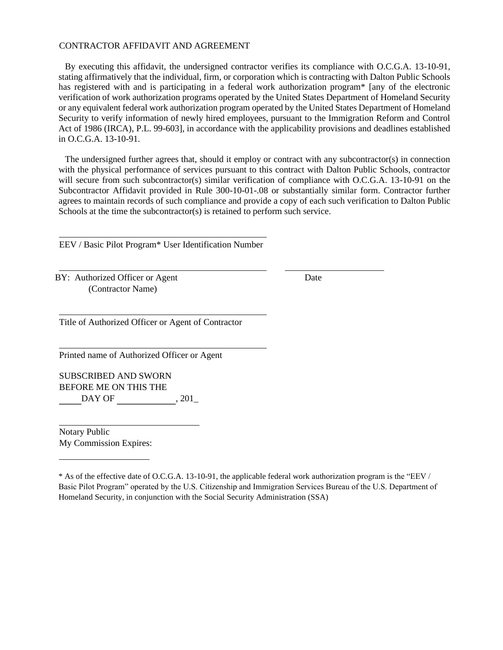#### CONTRACTOR AFFIDAVIT AND AGREEMENT

By executing this affidavit, the undersigned contractor verifies its compliance with O.C.G.A. 13-10-91, stating affirmatively that the individual, firm, or corporation which is contracting with Dalton Public Schools has registered with and is participating in a federal work authorization program<sup>\*</sup> [any of the electronic verification of work authorization programs operated by the United States Department of Homeland Security or any equivalent federal work authorization program operated by the United States Department of Homeland Security to verify information of newly hired employees, pursuant to the Immigration Reform and Control Act of 1986 (IRCA), P.L. 99-603], in accordance with the applicability provisions and deadlines established in O.C.G.A. 13-10-91.

The undersigned further agrees that, should it employ or contract with any subcontractor(s) in connection with the physical performance of services pursuant to this contract with Dalton Public Schools, contractor will secure from such subcontractor(s) similar verification of compliance with O.C.G.A. 13-10-91 on the Subcontractor Affidavit provided in Rule 300-10-01-.08 or substantially similar form. Contractor further agrees to maintain records of such compliance and provide a copy of each such verification to Dalton Public Schools at the time the subcontractor(s) is retained to perform such service.

EEV / Basic Pilot Program\* User Identification Number

BY: Authorized Officer or Agent Date (Contractor Name)

Title of Authorized Officer or Agent of Contractor

Printed name of Authorized Officer or Agent

SUBSCRIBED AND SWORN BEFORE ME ON THIS THE  $\mathrm{DAY~OF} \qquad \qquad \, \mathrm{,~201\_}$ 

Notary Public My Commission Expires:

<sup>\*</sup> As of the effective date of O.C.G.A. 13-10-91, the applicable federal work authorization program is the "EEV / Basic Pilot Program" operated by the U.S. Citizenship and Immigration Services Bureau of the U.S. Department of Homeland Security, in conjunction with the Social Security Administration (SSA)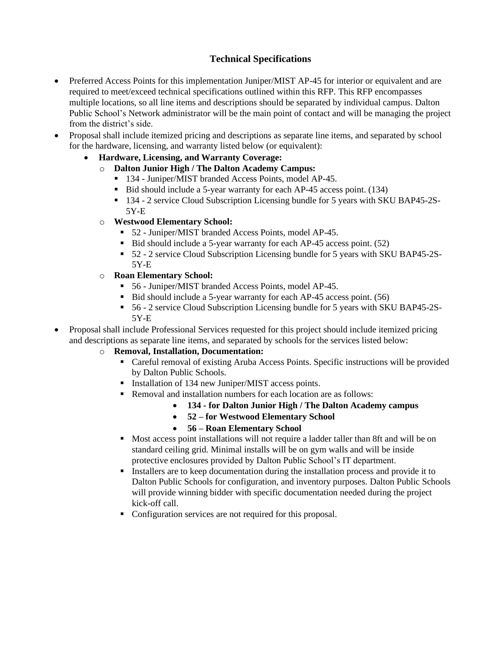### **Technical Specifications**

- Preferred Access Points for this implementation Juniper/MIST AP-45 for interior or equivalent and are required to meet/exceed technical specifications outlined within this RFP. This RFP encompasses multiple locations, so all line items and descriptions should be separated by individual campus. Dalton Public School's Network administrator will be the main point of contact and will be managing the project from the district's side.
- Proposal shall include itemized pricing and descriptions as separate line items, and separated by school for the hardware, licensing, and warranty listed below (or equivalent):
	- **Hardware, Licensing, and Warranty Coverage:**
		- o **Dalton Junior High / The Dalton Academy Campus:**
			- 134 Juniper/MIST branded Access Points, model AP-45.
			- Bid should include a 5-year warranty for each AP-45 access point. (134)
			- 134 2 service Cloud Subscription Licensing bundle for 5 years with SKU BAP45-2S-5Y-E
		- o **Westwood Elementary School:**
			- 52 Juniper/MIST branded Access Points, model AP-45.
			- Bid should include a 5-year warranty for each AP-45 access point. (52)
			- 52 2 service Cloud Subscription Licensing bundle for 5 years with SKU BAP45-2S-5Y-E
		- o **Roan Elementary School:**
			- 56 Juniper/MIST branded Access Points, model AP-45.
			- Bid should include a 5-year warranty for each AP-45 access point. (56)
			- 56 2 service Cloud Subscription Licensing bundle for 5 years with SKU BAP45-2S-5Y-E
- Proposal shall include Professional Services requested for this project should include itemized pricing and descriptions as separate line items, and separated by schools for the services listed below:

#### o **Removal, Installation, Documentation:**

- Careful removal of existing Aruba Access Points. Specific instructions will be provided by Dalton Public Schools.
- Installation of 134 new Juniper/MIST access points.
- Removal and installation numbers for each location are as follows:
	- **134 - for Dalton Junior High / The Dalton Academy campus**
	- **52 – for Westwood Elementary School**
	- **56 – Roan Elementary School**
- Most access point installations will not require a ladder taller than 8ft and will be on standard ceiling grid. Minimal installs will be on gym walls and will be inside protective enclosures provided by Dalton Public School's IT department.
- Installers are to keep documentation during the installation process and provide it to Dalton Public Schools for configuration, and inventory purposes. Dalton Public Schools will provide winning bidder with specific documentation needed during the project kick-off call.
- Configuration services are not required for this proposal.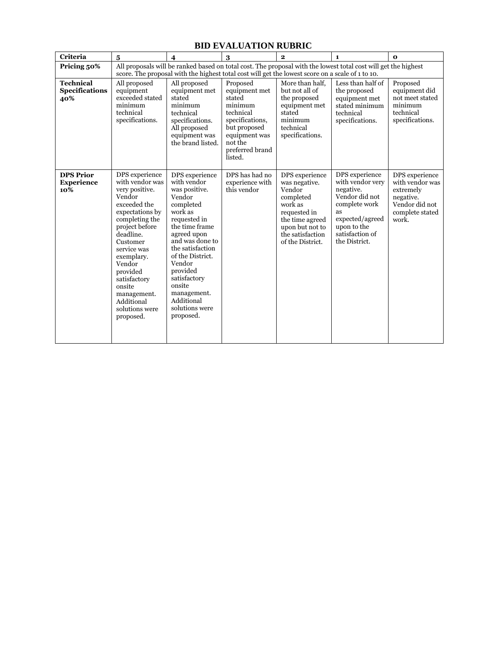| <b>Criteria</b>                                  | $\overline{\mathbf{5}}$                                                                                                                                                                                                                                                                                | $\overline{\mathbf{4}}$                                                                                                                                                                                                                                                                                  | 3                                                                                                                                                        | $\overline{2}$                                                                                                                                                  | $\mathbf{1}$                                                                                                                                                   | $\mathbf{o}$                                                                                              |
|--------------------------------------------------|--------------------------------------------------------------------------------------------------------------------------------------------------------------------------------------------------------------------------------------------------------------------------------------------------------|----------------------------------------------------------------------------------------------------------------------------------------------------------------------------------------------------------------------------------------------------------------------------------------------------------|----------------------------------------------------------------------------------------------------------------------------------------------------------|-----------------------------------------------------------------------------------------------------------------------------------------------------------------|----------------------------------------------------------------------------------------------------------------------------------------------------------------|-----------------------------------------------------------------------------------------------------------|
| Pricing 50%                                      | All proposals will be ranked based on total cost. The proposal with the lowest total cost will get the highest<br>score. The proposal with the highest total cost will get the lowest score on a scale of 1 to 10.                                                                                     |                                                                                                                                                                                                                                                                                                          |                                                                                                                                                          |                                                                                                                                                                 |                                                                                                                                                                |                                                                                                           |
| <b>Technical</b><br><b>Specifications</b><br>40% | All proposed<br>equipment<br>exceeded stated<br>minimum<br>technical<br>specifications.                                                                                                                                                                                                                | All proposed<br>equipment met<br>stated<br>minimum<br>technical<br>specifications.<br>All proposed<br>equipment was<br>the brand listed.                                                                                                                                                                 | Proposed<br>equipment met<br>stated<br>minimum<br>technical<br>specifications,<br>but proposed<br>equipment was<br>not the<br>preferred brand<br>listed. | More than half.<br>but not all of<br>the proposed<br>equipment met<br>stated<br>minimum<br>technical<br>specifications.                                         | Less than half of<br>the proposed<br>equipment met<br>stated minimum<br>technical<br>specifications.                                                           | Proposed<br>equipment did<br>not meet stated<br>minimum<br>technical<br>specifications.                   |
| <b>DPS Prior</b><br><b>Experience</b><br>10%     | DPS experience<br>with vendor was<br>very positive.<br>Vendor<br>exceeded the<br>expectations by<br>completing the<br>project before<br>deadline.<br>Customer<br>service was<br>exemplary.<br>Vendor<br>provided<br>satisfactory<br>onsite<br>management.<br>Additional<br>solutions were<br>proposed. | DPS experience<br>with vendor<br>was positive.<br>Vendor<br>completed<br>work as<br>requested in<br>the time frame<br>agreed upon<br>and was done to<br>the satisfaction<br>of the District.<br>Vendor<br>provided<br>satisfactory<br>onsite<br>management.<br>Additional<br>solutions were<br>proposed. | DPS has had no<br>experience with<br>this vendor                                                                                                         | DPS experience<br>was negative.<br>Vendor<br>completed<br>work as<br>requested in<br>the time agreed<br>upon but not to<br>the satisfaction<br>of the District. | DPS experience<br>with vendor very<br>negative.<br>Vendor did not<br>complete work<br>as<br>expected/agreed<br>upon to the<br>satisfaction of<br>the District. | DPS experience<br>with vendor was<br>extremely<br>negative.<br>Vendor did not<br>complete stated<br>work. |

### **BID EVALUATION RUBRIC**